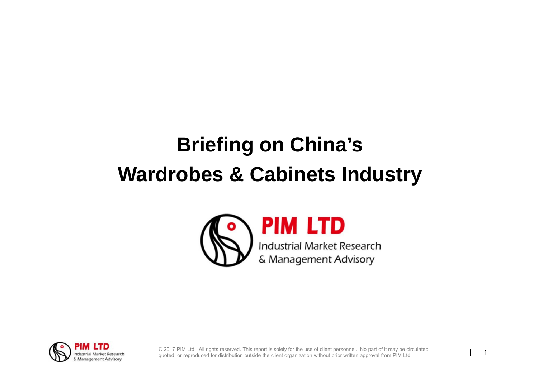# **Briefing on China's Wardrobes & Cabinets Industry**



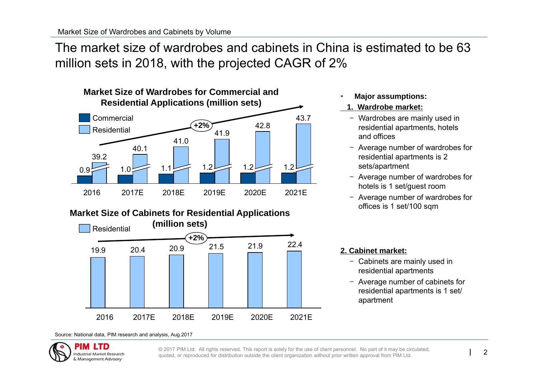The market size of wardrobes and cabinets in China is estimated to be 63 million sets in 2018, with the projected CAGR of 2%



#### **Market Size of Cabinets for Residential Applications**



#### •**Major assumptions:**

#### **1. Wardrobe market:**

- − Wardrobes are mainly used in residential apartments, hotels and offices
- − Average number of wardrobes for residential apartments is 2 sets/apartment
- − Average number of wardrobes for hotels is 1 set/guest room
- − Average number of wardrobes for offices is 1 set/100 sqm

#### **2. Cabinet market:**

- − Cabinets are mainly used in residential apartments
- − Average number of cabinets for residential apartments is 1 set/ apartment

#### Source: National data, PIM research and analysis, Aug.2017

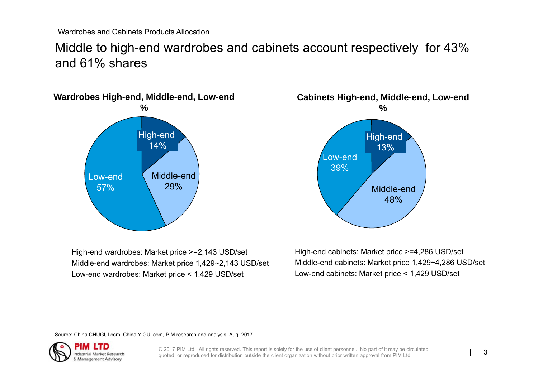Middle to high-end wardrobes and cabinets account respectively for 43% and 61% shares



High-end wardrobes: Market price >=2,143 USD/set Middle-end wardrobes: Market price 1,429~2,143 USD/set Low-end wardrobes: Market price < 1,429 USD/set



High-end cabinets: Market price >=4,286 USD/set Middle-end cabinets: Market price 1,429~4,286 USD/set Low-end cabinets: Market price < 1,429 USD/set

Source: China CHUGUI.com, China YIGUI.com, PIM research and analysis, Aug. 2017

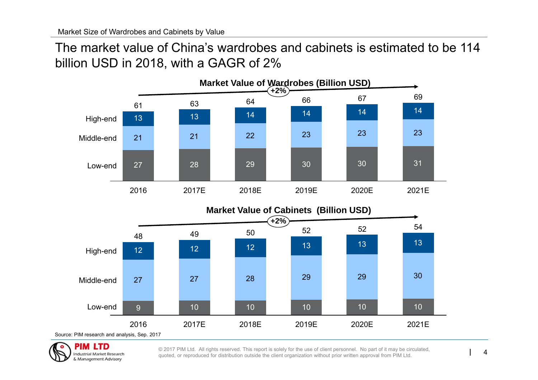The market value of China's wardrobes and cabinets is estimated to be 114 billion USD in 2018, with a GAGR of 2%



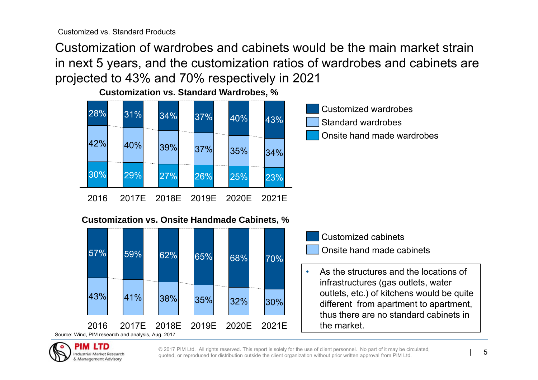PIM LTD **Industrial Market Research** & Management Advisory

Customization of wardrobes and cabinets would be the main market strain in next 5 years, and the customization ratios of wardrobes and cabinets are projected to 43% and 70% respectively in 2021





#### **Customization vs. Onsite Handmade Cabinets, %**



- Onsite hand made cabinets Customized cabinets
- • As the structures and the locations of infrastructures (gas outlets, water outlets, etc.) of kitchens would be quite different from apartment to apartment, thus there are no standard cabinets in the market.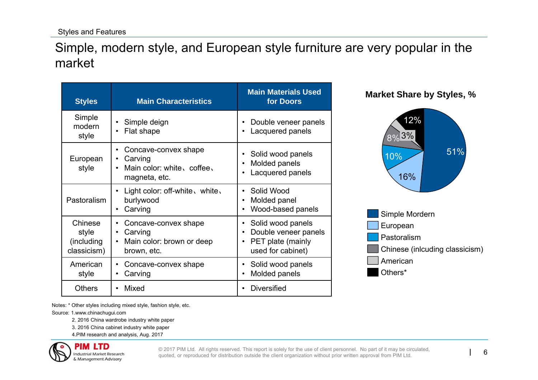### Simple, modern style, and European style furniture are very popular in the market

| <b>Styles</b>                                 | <b>Main Characteristics</b>                                                                           | <b>Main Materials Used</b><br>for Doors                                                                            |  |  |
|-----------------------------------------------|-------------------------------------------------------------------------------------------------------|--------------------------------------------------------------------------------------------------------------------|--|--|
| Simple<br>modern<br>style                     | Simple deign<br>Flat shape                                                                            | Double veneer panels<br>Lacquered panels                                                                           |  |  |
| European<br>style                             | Concave-convex shape<br>Carving<br>Main color: white, coffee,<br>magneta, etc.                        | Solid wood panels<br>$\bullet$<br>Molded panels<br>$\bullet$<br>Lacquered panels                                   |  |  |
| Pastoralism                                   | Light color: off-white, white,<br>burlywood<br>Carving                                                | Solid Wood<br>$\bullet$<br>Molded panel<br>٠<br>Wood-based panels                                                  |  |  |
| Chinese<br>style<br>(including<br>classicism) | Concave-convex shape<br>Carving<br>$\bullet$<br>Main color: brown or deep<br>$\bullet$<br>brown, etc. | Solid wood panels<br>٠<br>Double veneer panels<br>$\bullet$<br>PET plate (mainly<br>$\bullet$<br>used for cabinet) |  |  |
| American<br>style                             | Concave-convex shape<br>Carving                                                                       | Solid wood panels<br>$\bullet$<br>Molded panels<br>$\bullet$                                                       |  |  |
| <b>Others</b>                                 | Mixed                                                                                                 | <b>Diversified</b>                                                                                                 |  |  |





Notes: \* Other styles including mixed style, fashion style, etc.

Source: 1.www.chinachugui.com

2. 2016 China wardrobe industry white paper

3. 2016 China cabinet industry white paper

4.PIM research and analysis, Aug. 2017

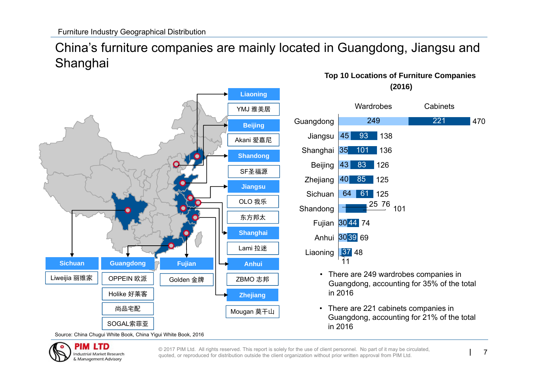## China's furniture companies are mainly located in Guangdong, Jiangsu and Shanghai



#### **Top 10 Locations of Furniture Companies (2016)**



• There are 221 cabinets companies in Guangdong, accounting for 21% of the total in 2016

Source: China Chugui White Book, China Yigui White Book, 2016

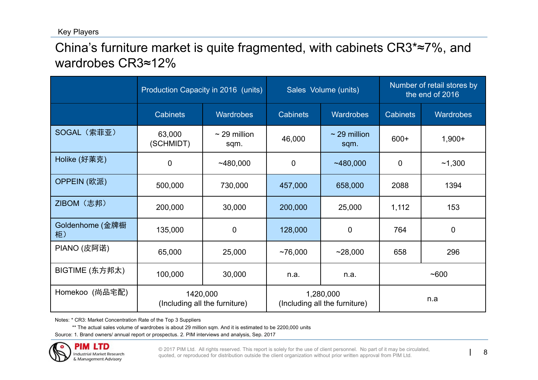Key Players

China's furniture market is quite fragmented, with cabinets CR3\*≈7%, and wardrobes CR3≈12%

|                       | Production Capacity in 2016 (units)       |                           | Sales Volume (units)                       |                           | Number of retail stores by<br>the end of 2016 |                  |
|-----------------------|-------------------------------------------|---------------------------|--------------------------------------------|---------------------------|-----------------------------------------------|------------------|
|                       | <b>Cabinets</b>                           | <b>Wardrobes</b>          | <b>Cabinets</b>                            | <b>Wardrobes</b>          | <b>Cabinets</b>                               | <b>Wardrobes</b> |
| SOGAL (索菲亚)           | 63,000<br>(SCHMIDT)                       | $\sim$ 29 million<br>sqm. | 46,000                                     | $\sim$ 29 million<br>sqm. | $600+$                                        | $1,900+$         |
| Holike (好莱克)          | $\mathbf 0$                               | ~1480,000                 | $\mathbf 0$                                | ~1480,000                 | $\mathbf 0$                                   | ~1,300           |
| OPPEIN (欧派)           | 500,000                                   | 730,000                   | 457,000                                    | 658,000                   | 2088                                          | 1394             |
| ZIBOM (志邦)            | 200,000                                   | 30,000                    | 200,000                                    | 25,000                    | 1,112                                         | 153              |
| Goldenhome (金牌橱<br>柜) | 135,000                                   | $\overline{0}$            | 128,000                                    | $\overline{0}$            | 764                                           | 0                |
| PIANO (皮阿诺)           | 65,000                                    | 25,000                    | ~176,000                                   | ~28,000                   | 658                                           | 296              |
| BIGTIME (东方邦太)        | 100,000                                   | 30,000                    | n.a.                                       | n.a.                      | ~1600                                         |                  |
| Homekoo (尚品宅配)        | 1420,000<br>(Including all the furniture) |                           | 1,280,000<br>(Including all the furniture) |                           | n.a                                           |                  |

Notes: \* CR3: Market Concentration Rate of the Top 3 Suppliers

\*\* The actual sales volume of wardrobes is about 29 million sqm. And it is estimated to be 2200,000 units

Source: 1. Brand owners/ annual report or prospectus. 2. PIM interviews and analysis, Sep. 2017